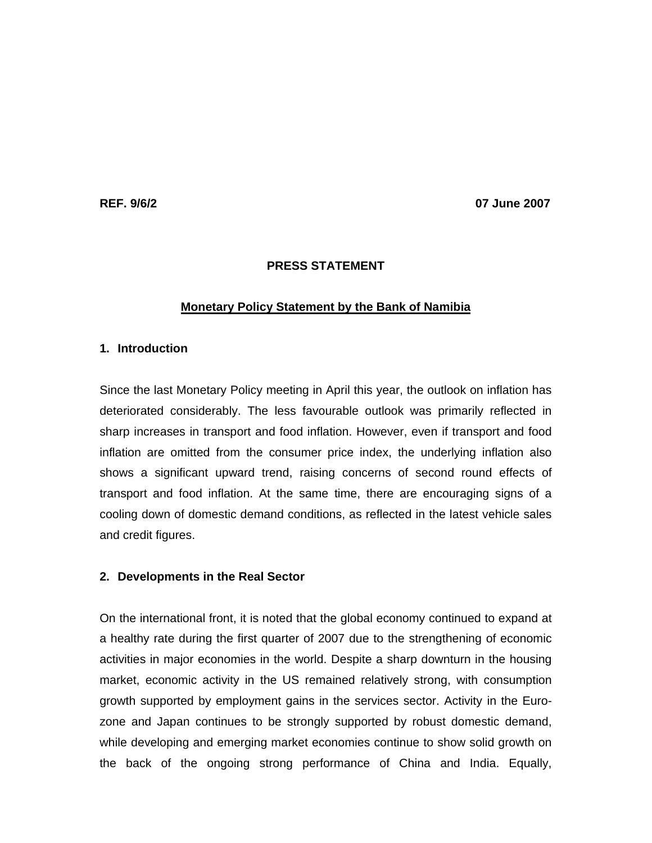**REF. 9/6/2 07 June 2007** 

## **PRESS STATEMENT**

## **Monetary Policy Statement by the Bank of Namibia**

# **1. Introduction**

Since the last Monetary Policy meeting in April this year, the outlook on inflation has deteriorated considerably. The less favourable outlook was primarily reflected in sharp increases in transport and food inflation. However, even if transport and food inflation are omitted from the consumer price index, the underlying inflation also shows a significant upward trend, raising concerns of second round effects of transport and food inflation. At the same time, there are encouraging signs of a cooling down of domestic demand conditions, as reflected in the latest vehicle sales and credit figures.

## **2. Developments in the Real Sector**

On the international front, it is noted that the global economy continued to expand at a healthy rate during the first quarter of 2007 due to the strengthening of economic activities in major economies in the world. Despite a sharp downturn in the housing market, economic activity in the US remained relatively strong, with consumption growth supported by employment gains in the services sector. Activity in the Eurozone and Japan continues to be strongly supported by robust domestic demand, while developing and emerging market economies continue to show solid growth on the back of the ongoing strong performance of China and India. Equally,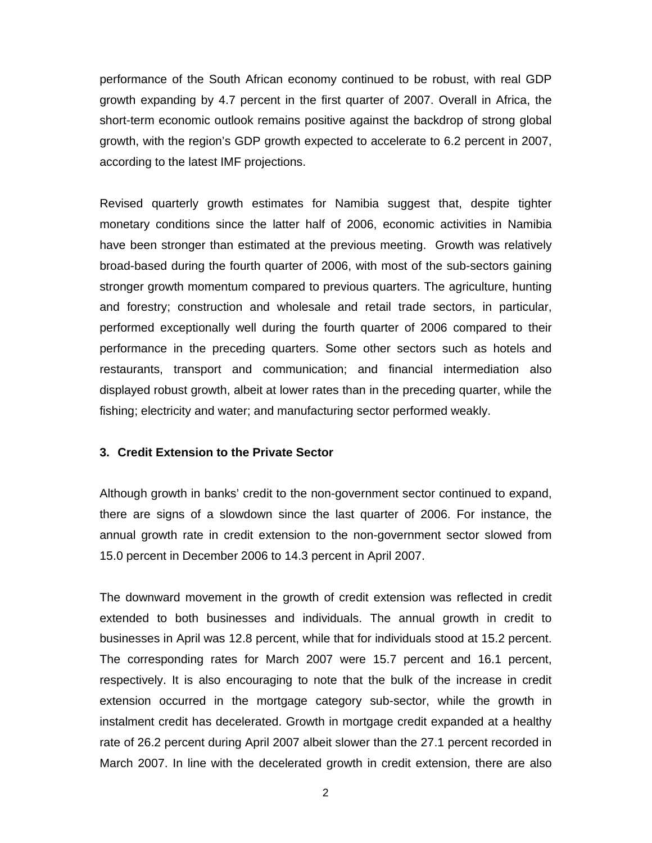performance of the South African economy continued to be robust, with real GDP growth expanding by 4.7 percent in the first quarter of 2007. Overall in Africa, the short-term economic outlook remains positive against the backdrop of strong global growth, with the region's GDP growth expected to accelerate to 6.2 percent in 2007, according to the latest IMF projections.

Revised quarterly growth estimates for Namibia suggest that, despite tighter monetary conditions since the latter half of 2006, economic activities in Namibia have been stronger than estimated at the previous meeting. Growth was relatively broad-based during the fourth quarter of 2006, with most of the sub-sectors gaining stronger growth momentum compared to previous quarters. The agriculture, hunting and forestry; construction and wholesale and retail trade sectors, in particular, performed exceptionally well during the fourth quarter of 2006 compared to their performance in the preceding quarters. Some other sectors such as hotels and restaurants, transport and communication; and financial intermediation also displayed robust growth, albeit at lower rates than in the preceding quarter, while the fishing; electricity and water; and manufacturing sector performed weakly.

#### **3. Credit Extension to the Private Sector**

Although growth in banks' credit to the non-government sector continued to expand, there are signs of a slowdown since the last quarter of 2006. For instance, the annual growth rate in credit extension to the non-government sector slowed from 15.0 percent in December 2006 to 14.3 percent in April 2007.

The downward movement in the growth of credit extension was reflected in credit extended to both businesses and individuals. The annual growth in credit to businesses in April was 12.8 percent, while that for individuals stood at 15.2 percent. The corresponding rates for March 2007 were 15.7 percent and 16.1 percent, respectively. It is also encouraging to note that the bulk of the increase in credit extension occurred in the mortgage category sub-sector, while the growth in instalment credit has decelerated. Growth in mortgage credit expanded at a healthy rate of 26.2 percent during April 2007 albeit slower than the 27.1 percent recorded in March 2007. In line with the decelerated growth in credit extension, there are also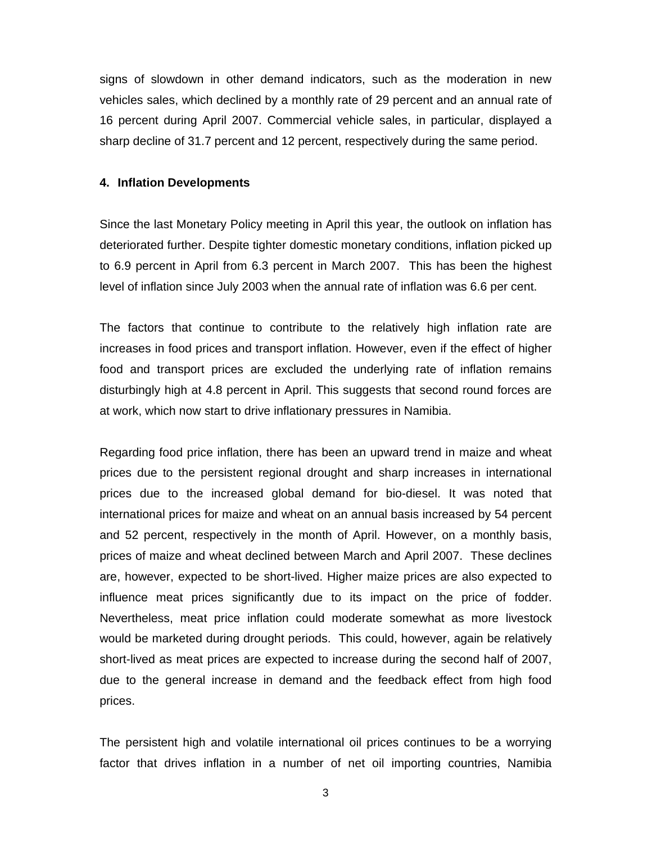signs of slowdown in other demand indicators, such as the moderation in new vehicles sales, which declined by a monthly rate of 29 percent and an annual rate of 16 percent during April 2007. Commercial vehicle sales, in particular, displayed a sharp decline of 31.7 percent and 12 percent, respectively during the same period.

#### **4. Inflation Developments**

Since the last Monetary Policy meeting in April this year, the outlook on inflation has deteriorated further. Despite tighter domestic monetary conditions, inflation picked up to 6.9 percent in April from 6.3 percent in March 2007. This has been the highest level of inflation since July 2003 when the annual rate of inflation was 6.6 per cent.

The factors that continue to contribute to the relatively high inflation rate are increases in food prices and transport inflation. However, even if the effect of higher food and transport prices are excluded the underlying rate of inflation remains disturbingly high at 4.8 percent in April. This suggests that second round forces are at work, which now start to drive inflationary pressures in Namibia.

Regarding food price inflation, there has been an upward trend in maize and wheat prices due to the persistent regional drought and sharp increases in international prices due to the increased global demand for bio-diesel. It was noted that international prices for maize and wheat on an annual basis increased by 54 percent and 52 percent, respectively in the month of April. However, on a monthly basis, prices of maize and wheat declined between March and April 2007. These declines are, however, expected to be short-lived. Higher maize prices are also expected to influence meat prices significantly due to its impact on the price of fodder. Nevertheless, meat price inflation could moderate somewhat as more livestock would be marketed during drought periods. This could, however, again be relatively short-lived as meat prices are expected to increase during the second half of 2007, due to the general increase in demand and the feedback effect from high food prices.

The persistent high and volatile international oil prices continues to be a worrying factor that drives inflation in a number of net oil importing countries, Namibia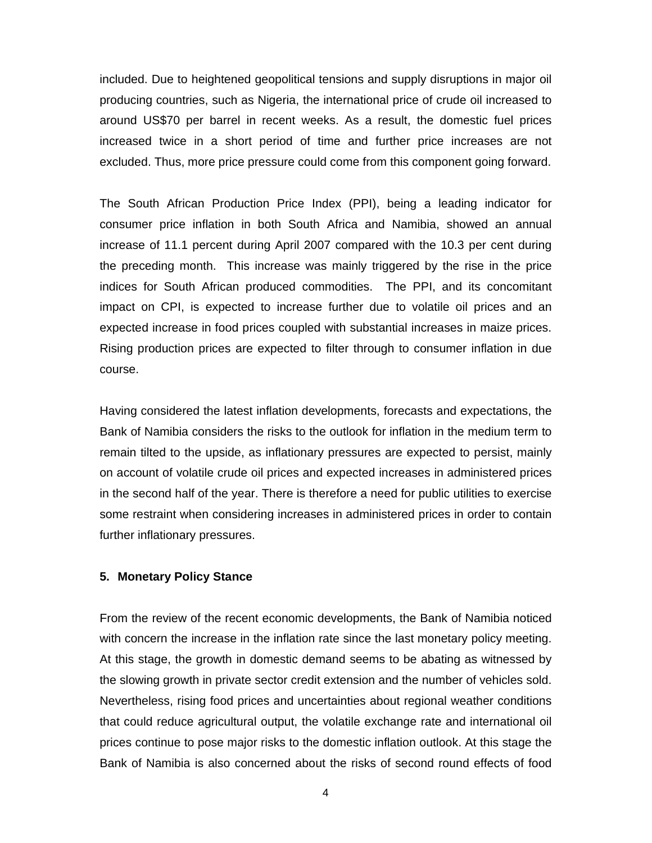included. Due to heightened geopolitical tensions and supply disruptions in major oil producing countries, such as Nigeria, the international price of crude oil increased to around US\$70 per barrel in recent weeks. As a result, the domestic fuel prices increased twice in a short period of time and further price increases are not excluded. Thus, more price pressure could come from this component going forward.

The South African Production Price Index (PPI), being a leading indicator for consumer price inflation in both South Africa and Namibia, showed an annual increase of 11.1 percent during April 2007 compared with the 10.3 per cent during the preceding month. This increase was mainly triggered by the rise in the price indices for South African produced commodities. The PPI, and its concomitant impact on CPI, is expected to increase further due to volatile oil prices and an expected increase in food prices coupled with substantial increases in maize prices. Rising production prices are expected to filter through to consumer inflation in due course.

Having considered the latest inflation developments, forecasts and expectations, the Bank of Namibia considers the risks to the outlook for inflation in the medium term to remain tilted to the upside, as inflationary pressures are expected to persist, mainly on account of volatile crude oil prices and expected increases in administered prices in the second half of the year. There is therefore a need for public utilities to exercise some restraint when considering increases in administered prices in order to contain further inflationary pressures.

### **5. Monetary Policy Stance**

From the review of the recent economic developments, the Bank of Namibia noticed with concern the increase in the inflation rate since the last monetary policy meeting. At this stage, the growth in domestic demand seems to be abating as witnessed by the slowing growth in private sector credit extension and the number of vehicles sold. Nevertheless, rising food prices and uncertainties about regional weather conditions that could reduce agricultural output, the volatile exchange rate and international oil prices continue to pose major risks to the domestic inflation outlook. At this stage the Bank of Namibia is also concerned about the risks of second round effects of food